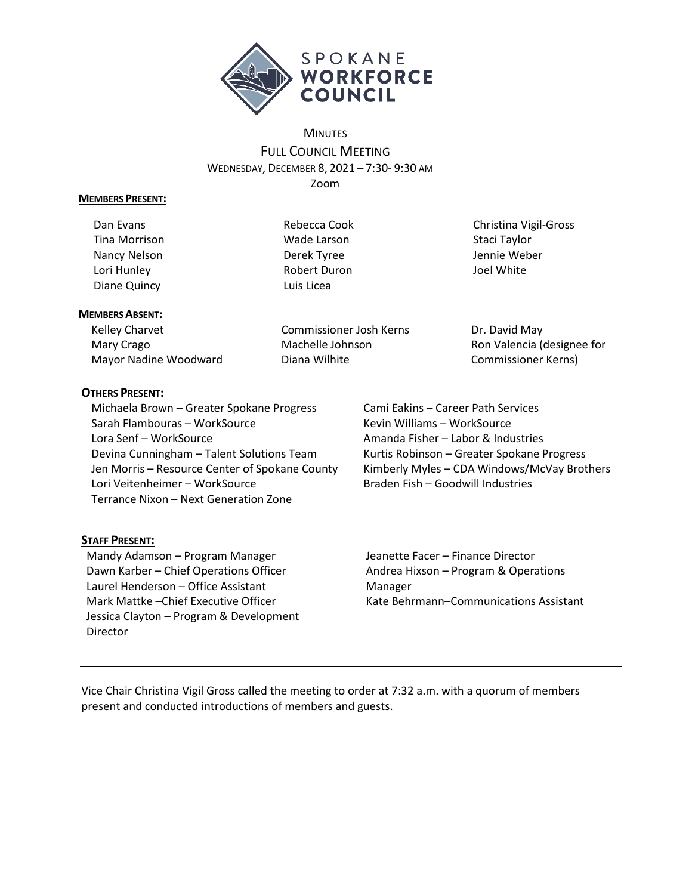

# **MINUTES** FULL COUNCIL MEETING WEDNESDAY, DECEMBER 8, 2021 – 7:30- 9:30 AM Zoom

#### **MEMBERS PRESENT:**

Dan Evans Tina Morrison Nancy Nelson Lori Hunley Diane Quincy

Rebecca Cook Wade Larson Derek Tyree Robert Duron Luis Licea

Christina Vigil-Gross Staci Taylor Jennie Weber Joel White

### **MEMBERS ABSENT:**

Kelley Charvet Mary Crago Mayor Nadine Woodward Commissioner Josh Kerns Machelle Johnson Diana Wilhite

Dr. David May Ron Valencia (designee for Commissioner Kerns)

# **OTHERS PRESENT:**

Michaela Brown – Greater Spokane Progress Sarah Flambouras – WorkSource Lora Senf – WorkSource Devina Cunningham – Talent Solutions Team Jen Morris – Resource Center of Spokane County Lori Veitenheimer – WorkSource Terrance Nixon – Next Generation Zone

# Cami Eakins – Career Path Services Kevin Williams – WorkSource Amanda Fisher – Labor & Industries Kurtis Robinson – Greater Spokane Progress Kimberly Myles – CDA Windows/McVay Brothers Braden Fish – Goodwill Industries

# **STAFF PRESENT:**

Mandy Adamson – Program Manager Dawn Karber – Chief Operations Officer Laurel Henderson – Office Assistant Mark Mattke –Chief Executive Officer Jessica Clayton – Program & Development Director

Jeanette Facer – Finance Director Andrea Hixson – Program & Operations Manager Kate Behrmann–Communications Assistant

Vice Chair Christina Vigil Gross called the meeting to order at 7:32 a.m. with a quorum of members present and conducted introductions of members and guests.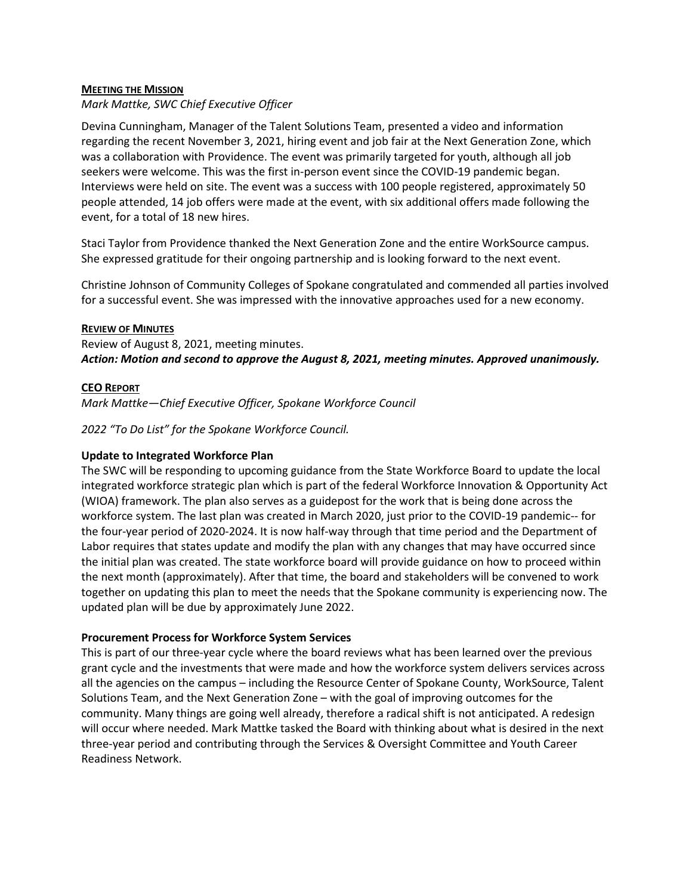#### **MEETING THE MISSION**

#### *Mark Mattke, SWC Chief Executive Officer*

Devina Cunningham, Manager of the Talent Solutions Team, presented a video and information regarding the recent November 3, 2021, hiring event and job fair at the Next Generation Zone, which was a collaboration with Providence. The event was primarily targeted for youth, although all job seekers were welcome. This was the first in-person event since the COVID-19 pandemic began. Interviews were held on site. The event was a success with 100 people registered, approximately 50 people attended, 14 job offers were made at the event, with six additional offers made following the event, for a total of 18 new hires.

Staci Taylor from Providence thanked the Next Generation Zone and the entire WorkSource campus. She expressed gratitude for their ongoing partnership and is looking forward to the next event.

Christine Johnson of Community Colleges of Spokane congratulated and commended all parties involved for a successful event. She was impressed with the innovative approaches used for a new economy.

#### **REVIEW OF MINUTES**

Review of August 8, 2021, meeting minutes. *Action: Motion and second to approve the August 8, 2021, meeting minutes. Approved unanimously.*

#### **CEO REPORT**

*Mark Mattke—Chief Executive Officer, Spokane Workforce Council*

*2022 "To Do List" for the Spokane Workforce Council.*

#### **Update to Integrated Workforce Plan**

The SWC will be responding to upcoming guidance from the State Workforce Board to update the local integrated workforce strategic plan which is part of the federal Workforce Innovation & Opportunity Act (WIOA) framework. The plan also serves as a guidepost for the work that is being done across the workforce system. The last plan was created in March 2020, just prior to the COVID-19 pandemic-- for the four-year period of 2020-2024. It is now half-way through that time period and the Department of Labor requires that states update and modify the plan with any changes that may have occurred since the initial plan was created. The state workforce board will provide guidance on how to proceed within the next month (approximately). After that time, the board and stakeholders will be convened to work together on updating this plan to meet the needs that the Spokane community is experiencing now. The updated plan will be due by approximately June 2022.

### **Procurement Process for Workforce System Services**

This is part of our three-year cycle where the board reviews what has been learned over the previous grant cycle and the investments that were made and how the workforce system delivers services across all the agencies on the campus – including the Resource Center of Spokane County, WorkSource, Talent Solutions Team, and the Next Generation Zone – with the goal of improving outcomes for the community. Many things are going well already, therefore a radical shift is not anticipated. A redesign will occur where needed. Mark Mattke tasked the Board with thinking about what is desired in the next three-year period and contributing through the Services & Oversight Committee and Youth Career Readiness Network.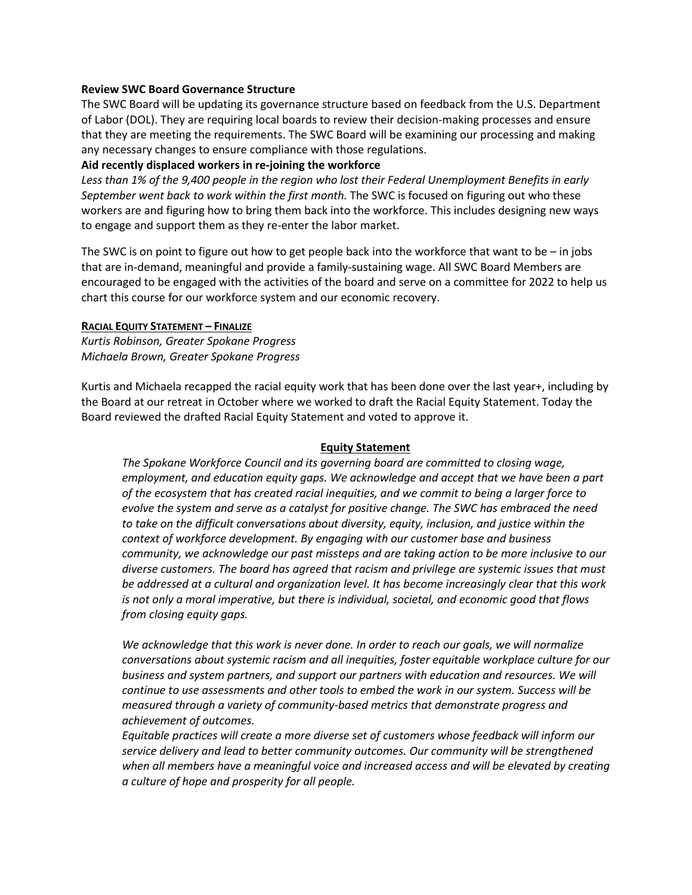#### **Review SWC Board Governance Structure**

The SWC Board will be updating its governance structure based on feedback from the U.S. Department of Labor (DOL). They are requiring local boards to review their decision-making processes and ensure that they are meeting the requirements. The SWC Board will be examining our processing and making any necessary changes to ensure compliance with those regulations.

### **Aid recently displaced workers in re-joining the workforce**

*Less than 1% of the 9,400 people in the region who lost their Federal Unemployment Benefits in early September went back to work within the first month.* The SWC is focused on figuring out who these workers are and figuring how to bring them back into the workforce. This includes designing new ways to engage and support them as they re-enter the labor market.

The SWC is on point to figure out how to get people back into the workforce that want to be  $-$  in jobs that are in-demand, meaningful and provide a family-sustaining wage. All SWC Board Members are encouraged to be engaged with the activities of the board and serve on a committee for 2022 to help us chart this course for our workforce system and our economic recovery.

#### **RACIAL EQUITY STATEMENT – FINALIZE**

*Kurtis Robinson, Greater Spokane Progress Michaela Brown, Greater Spokane Progress*

Kurtis and Michaela recapped the racial equity work that has been done over the last year+, including by the Board at our retreat in October where we worked to draft the Racial Equity Statement. Today the Board reviewed the drafted Racial Equity Statement and voted to approve it.

#### **Equity Statement**

*The Spokane Workforce Council and its governing board are committed to closing wage, employment, and education equity gaps. We acknowledge and accept that we have been a part of the ecosystem that has created racial inequities, and we commit to being a larger force to evolve the system and serve as a catalyst for positive change. The SWC has embraced the need to take on the difficult conversations about diversity, equity, inclusion, and justice within the context of workforce development. By engaging with our customer base and business community, we acknowledge our past missteps and are taking action to be more inclusive to our diverse customers. The board has agreed that racism and privilege are systemic issues that must be addressed at a cultural and organization level. It has become increasingly clear that this work is not only a moral imperative, but there is individual, societal, and economic good that flows from closing equity gaps.*

*We acknowledge that this work is never done. In order to reach our goals, we will normalize conversations about systemic racism and all inequities, foster equitable workplace culture for our business and system partners, and support our partners with education and resources. We will continue to use assessments and other tools to embed the work in our system. Success will be measured through a variety of community-based metrics that demonstrate progress and achievement of outcomes.*

*Equitable practices will create a more diverse set of customers whose feedback will inform our service delivery and lead to better community outcomes. Our community will be strengthened when all members have a meaningful voice and increased access and will be elevated by creating a culture of hope and prosperity for all people.*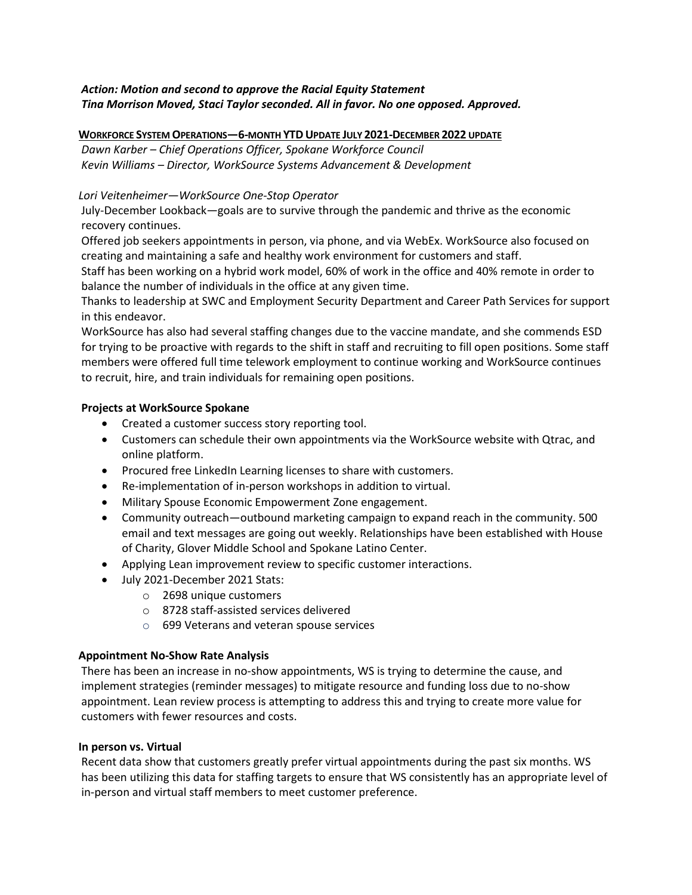### *Action: Motion and second to approve the Racial Equity Statement Tina Morrison Moved, Staci Taylor seconded. All in favor. No one opposed. Approved.*

#### **WORKFORCE SYSTEM OPERATIONS—6-MONTH YTDUPDATE JULY 2021-DECEMBER 2022 UPDATE**

*Dawn Karber – Chief Operations Officer, Spokane Workforce Council Kevin Williams – Director, WorkSource Systems Advancement & Development*

### *Lori Veitenheimer—WorkSource One-Stop Operator*

July-December Lookback—goals are to survive through the pandemic and thrive as the economic recovery continues.

Offered job seekers appointments in person, via phone, and via WebEx. WorkSource also focused on creating and maintaining a safe and healthy work environment for customers and staff.

Staff has been working on a hybrid work model, 60% of work in the office and 40% remote in order to balance the number of individuals in the office at any given time.

Thanks to leadership at SWC and Employment Security Department and Career Path Services for support in this endeavor.

WorkSource has also had several staffing changes due to the vaccine mandate, and she commends ESD for trying to be proactive with regards to the shift in staff and recruiting to fill open positions. Some staff members were offered full time telework employment to continue working and WorkSource continues to recruit, hire, and train individuals for remaining open positions.

### **Projects at WorkSource Spokane**

- Created a customer success story reporting tool.
- Customers can schedule their own appointments via the WorkSource website with Qtrac, and online platform.
- Procured free LinkedIn Learning licenses to share with customers.
- Re-implementation of in-person workshops in addition to virtual.
- Military Spouse Economic Empowerment Zone engagement.
- Community outreach—outbound marketing campaign to expand reach in the community. 500 email and text messages are going out weekly. Relationships have been established with House of Charity, Glover Middle School and Spokane Latino Center.
- Applying Lean improvement review to specific customer interactions.
- July 2021-December 2021 Stats:
	- o 2698 unique customers
	- o 8728 staff-assisted services delivered
	- o 699 Veterans and veteran spouse services

### **Appointment No-Show Rate Analysis**

There has been an increase in no-show appointments, WS is trying to determine the cause, and implement strategies (reminder messages) to mitigate resource and funding loss due to no-show appointment. Lean review process is attempting to address this and trying to create more value for customers with fewer resources and costs.

### **In person vs. Virtual**

Recent data show that customers greatly prefer virtual appointments during the past six months. WS has been utilizing this data for staffing targets to ensure that WS consistently has an appropriate level of in-person and virtual staff members to meet customer preference.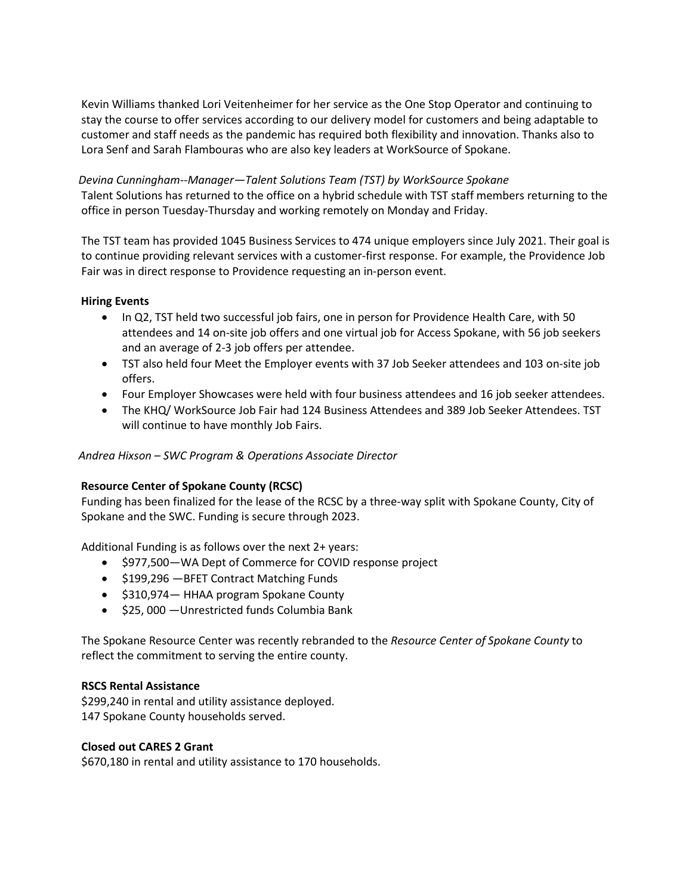Kevin Williams thanked Lori Veitenheimer for her service as the One Stop Operator and continuing to stay the course to offer services according to our delivery model for customers and being adaptable to customer and staff needs as the pandemic has required both flexibility and innovation. Thanks also to Lora Senf and Sarah Flambouras who are also key leaders at WorkSource of Spokane.

### *Devina Cunningham--Manager—Talent Solutions Team (TST) by WorkSource Spokane*

Talent Solutions has returned to the office on a hybrid schedule with TST staff members returning to the office in person Tuesday-Thursday and working remotely on Monday and Friday.

The TST team has provided 1045 Business Services to 474 unique employers since July 2021. Their goal is to continue providing relevant services with a customer-first response. For example, the Providence Job Fair was in direct response to Providence requesting an in-person event.

### **Hiring Events**

- In Q2, TST held two successful job fairs, one in person for Providence Health Care, with 50 attendees and 14 on-site job offers and one virtual job for Access Spokane, with 56 job seekers and an average of 2-3 job offers per attendee.
- TST also held four Meet the Employer events with 37 Job Seeker attendees and 103 on-site job offers.
- Four Employer Showcases were held with four business attendees and 16 job seeker attendees.
- The KHQ/ WorkSource Job Fair had 124 Business Attendees and 389 Job Seeker Attendees. TST will continue to have monthly Job Fairs.

# *Andrea Hixson – SWC Program & Operations Associate Director*

# **Resource Center of Spokane County (RCSC)**

Funding has been finalized for the lease of the RCSC by a three-way split with Spokane County, City of Spokane and the SWC. Funding is secure through 2023.

Additional Funding is as follows over the next 2+ years:

- \$977,500—WA Dept of Commerce for COVID response project
- \$199,296 —BFET Contract Matching Funds
- \$310,974— HHAA program Spokane County
- \$25, 000 —Unrestricted funds Columbia Bank

The Spokane Resource Center was recently rebranded to the *Resource Center of Spokane County* to reflect the commitment to serving the entire county.

### **RSCS Rental Assistance**

\$299,240 in rental and utility assistance deployed. 147 Spokane County households served.

### **Closed out CARES 2 Grant**

\$670,180 in rental and utility assistance to 170 households.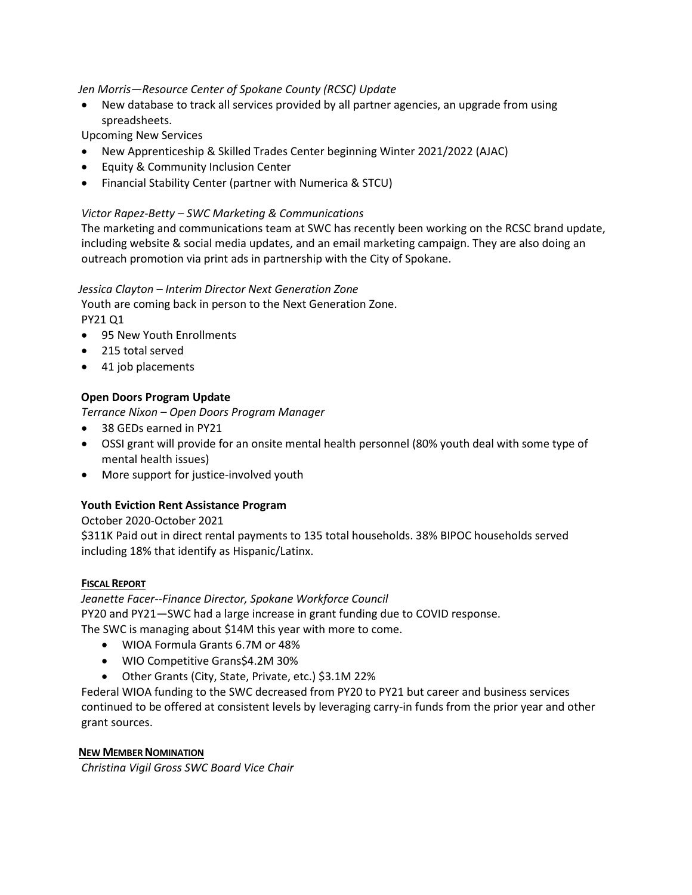### *Jen Morris—Resource Center of Spokane County (RCSC) Update*

• New database to track all services provided by all partner agencies, an upgrade from using spreadsheets.

Upcoming New Services

- New Apprenticeship & Skilled Trades Center beginning Winter 2021/2022 (AJAC)
- Equity & Community Inclusion Center
- Financial Stability Center (partner with Numerica & STCU)

### *Victor Rapez-Betty – SWC Marketing & Communications*

The marketing and communications team at SWC has recently been working on the RCSC brand update, including website & social media updates, and an email marketing campaign. They are also doing an outreach promotion via print ads in partnership with the City of Spokane.

### *Jessica Clayton – Interim Director Next Generation Zone*

Youth are coming back in person to the Next Generation Zone. PY21 Q1

- 95 New Youth Enrollments
- 215 total served
- 41 job placements

# **Open Doors Program Update**

*Terrance Nixon – Open Doors Program Manager*

- 38 GEDs earned in PY21
- OSSI grant will provide for an onsite mental health personnel (80% youth deal with some type of mental health issues)
- More support for justice-involved youth

# **Youth Eviction Rent Assistance Program**

### October 2020-October 2021

\$311K Paid out in direct rental payments to 135 total households. 38% BIPOC households served including 18% that identify as Hispanic/Latinx.

### **FISCAL REPORT**

*Jeanette Facer--Finance Director, Spokane Workforce Council* PY20 and PY21—SWC had a large increase in grant funding due to COVID response. The SWC is managing about \$14M this year with more to come.

- WIOA Formula Grants 6.7M or 48%
- WIO Competitive Grans\$4.2M 30%
- Other Grants (City, State, Private, etc.) \$3.1M 22%

Federal WIOA funding to the SWC decreased from PY20 to PY21 but career and business services continued to be offered at consistent levels by leveraging carry-in funds from the prior year and other grant sources.

### **NEW MEMBER NOMINATION**

*Christina Vigil Gross SWC Board Vice Chair*